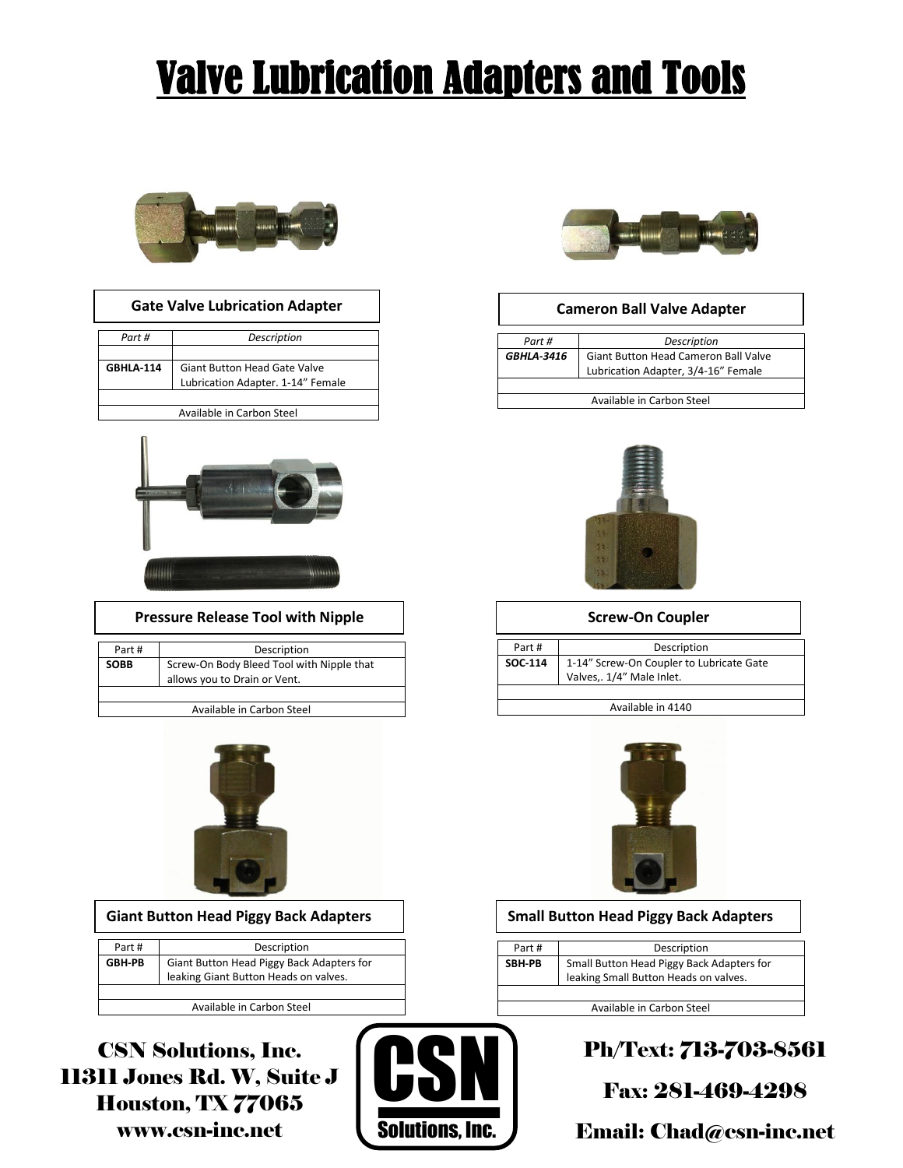# Valve Lubrication Adapters and Tools



| <b>Gate Valve Lubrication Adapter</b> |  |
|---------------------------------------|--|
|---------------------------------------|--|

| Part #           | Description                                  |  |  |
|------------------|----------------------------------------------|--|--|
|                  |                                              |  |  |
| <b>GBHLA 114</b> | Giant Button Head Gate Valve                 |  |  |
|                  | Lubrication Adapter. 1-14" Female            |  |  |
|                  |                                              |  |  |
|                  | المستركب ويستعادها كالمستريد والماسا المسترو |  |  |





## **Pressure Release Tool with Nipple The Coupler Screw-On Coupler**

| Part #      | Description                                                               |
|-------------|---------------------------------------------------------------------------|
| <b>SOBB</b> | Screw-On Body Bleed Tool with Nipple that<br>allows you to Drain or Vent. |
|             |                                                                           |

Available in Carbon Steel



| Part#         | Description                                                                        |
|---------------|------------------------------------------------------------------------------------|
| <b>GBH-PB</b> | Giant Button Head Piggy Back Adapters for<br>leaking Giant Button Heads on valves. |
|               |                                                                                    |

Available in Carbon Steel

CSN Solutions, Inc. 11311 Jones Rd. W, Suite J Houston, TX 77065 www.csn-inc.net





### **Cameron Ball Valve Adapter**

| Part #            | Description                                                                 |  |
|-------------------|-----------------------------------------------------------------------------|--|
| <b>GBHLA-3416</b> | Giant Button Head Cameron Ball Valve<br>Lubrication Adapter, 3/4-16" Female |  |
|                   |                                                                             |  |
|                   | Available in Carbon Steel                                                   |  |



| Part #  | Description                              |
|---------|------------------------------------------|
| SOC-114 | 1-14" Screw-On Coupler to Lubricate Gate |
|         | Valves,. 1/4" Male Inlet.                |

Available in 4140



## **Giant Button Head Piggy Back Adapters Small Button Head Piggy Back Adapters**

| Part#  | Description                                                                        |
|--------|------------------------------------------------------------------------------------|
| SBH-PB | Small Button Head Piggy Back Adapters for<br>leaking Small Button Heads on valves. |
|        |                                                                                    |

Available in Carbon Steel

# Ph/Text: 713-703-8561

Fax: 281-469-4298

Email: Chad@csn-inc.net